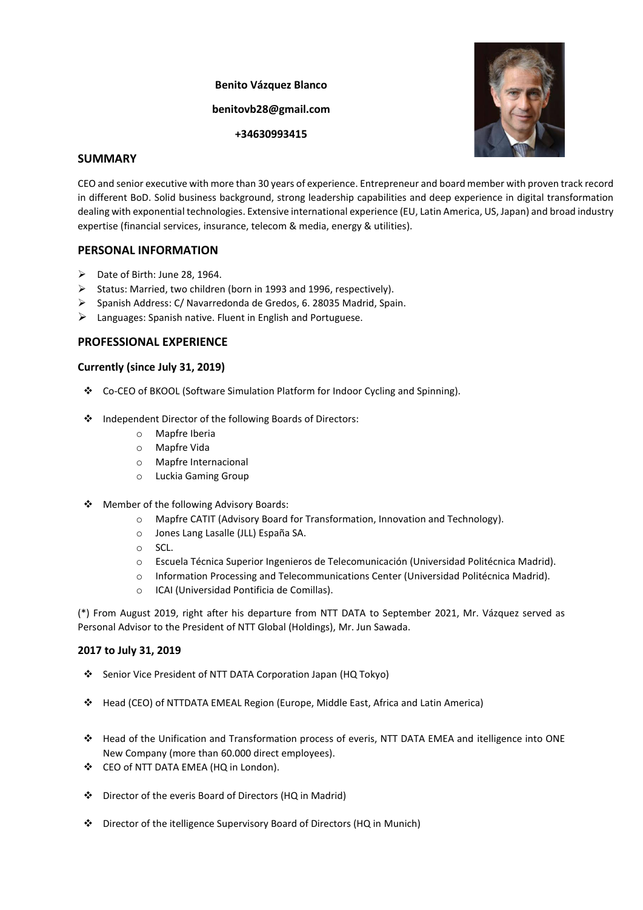# **Benito Vázquez Blanco benitovb28@gmail.com +34630993415**



# **SUMMARY**

CEO and senior executive with more than 30 years of experience. Entrepreneur and board member with proven track record in different BoD. Solid business background, strong leadership capabilities and deep experience in digital transformation dealing with exponential technologies. Extensive international experience (EU, Latin America, US, Japan) and broad industry expertise (financial services, insurance, telecom & media, energy & utilities).

# **PERSONAL INFORMATION**

- ➢ Date of Birth: June 28, 1964.
- ➢ Status: Married, two children (born in 1993 and 1996, respectively).
- ➢ Spanish Address: C/ Navarredonda de Gredos, 6. 28035 Madrid, Spain.
- $\triangleright$  Languages: Spanish native. Fluent in English and Portuguese.

## **PROFESSIONAL EXPERIENCE**

## **Currently (since July 31, 2019)**

- ❖ Co-CEO of BKOOL (Software Simulation Platform for Indoor Cycling and Spinning).
- ❖ Independent Director of the following Boards of Directors:
	- o Mapfre Iberia
	- o Mapfre Vida
	- o Mapfre Internacional
	- o Luckia Gaming Group
- ❖ Member of the following Advisory Boards:
	- o Mapfre CATIT (Advisory Board for Transformation, Innovation and Technology).
	- o Jones Lang Lasalle (JLL) España SA.
	- o SCL.
	- o Escuela Técnica Superior Ingenieros de Telecomunicación (Universidad Politécnica Madrid).
	- o Information Processing and Telecommunications Center (Universidad Politécnica Madrid).
	- o ICAI (Universidad Pontificia de Comillas).

(\*) From August 2019, right after his departure from NTT DATA to September 2021, Mr. Vázquez served as Personal Advisor to the President of NTT Global (Holdings), Mr. Jun Sawada.

## **2017 to July 31, 2019**

- ❖ Senior Vice President of NTT DATA Corporation Japan (HQ Tokyo)
- ❖ Head (CEO) of NTTDATA EMEAL Region (Europe, Middle East, Africa and Latin America)
- ❖ Head of the Unification and Transformation process of everis, NTT DATA EMEA and itelligence into ONE New Company (more than 60.000 direct employees).
- ❖ CEO of NTT DATA EMEA (HQ in London).
- ❖ Director of the everis Board of Directors (HQ in Madrid)
- ❖ Director of the itelligence Supervisory Board of Directors (HQ in Munich)